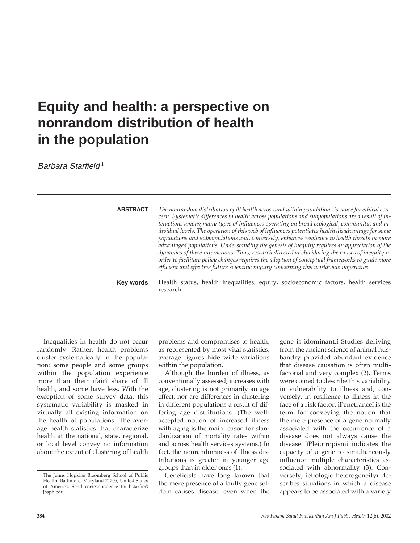## **Equity and health: a perspective on nonrandom distribution of health in the population**

Barbara Starfield1

| <b>ABSTRACT</b> | The nonrandom distribution of ill health across and within populations is cause for ethical con-<br>cern. Systematic differences in health across populations and subpopulations are a result of in-<br>teractions among many types of influences operating on broad ecological, community, and in-<br>dividual levels. The operation of this web of influences potentiates health disadvantage for some<br>populations and subpopulations and, conversely, enhances resilience to health threats in more<br>advantaged populations. Understanding the genesis of inequity requires an appreciation of the<br>dynamics of these interactions. Thus, research directed at elucidating the causes of inequity in<br>order to facilitate policy changes requires the adoption of conceptual frameworks to guide more<br>efficient and effective future scientific inquiry concerning this worldwide imperative. |
|-----------------|--------------------------------------------------------------------------------------------------------------------------------------------------------------------------------------------------------------------------------------------------------------------------------------------------------------------------------------------------------------------------------------------------------------------------------------------------------------------------------------------------------------------------------------------------------------------------------------------------------------------------------------------------------------------------------------------------------------------------------------------------------------------------------------------------------------------------------------------------------------------------------------------------------------|
| Key words       | Health status, health inequalities, equity, socioeconomic factors, health services<br>research.                                                                                                                                                                                                                                                                                                                                                                                                                                                                                                                                                                                                                                                                                                                                                                                                              |

Inequalities in health do not occur randomly. Rather, health problems cluster systematically in the population: some people and some groups within the population experience more than their ìfairî share of ill health, and some have less. With the exception of some survey data, this systematic variability is masked in virtually all existing information on the health of populations. The average health statistics that characterize health at the national, state, regional, or local level convey no information about the extent of clustering of health

problems and compromises to health; as represented by most vital statistics, average figures hide wide variations within the population.

Although the burden of illness, as conventionally assessed, increases with age, clustering is not primarily an age effect, nor are differences in clustering in different populations a result of differing age distributions. (The wellaccepted notion of increased illness with aging is the main reason for standardization of mortality rates within and across health services systems.) In fact, the nonrandomness of illness distributions is greater in younger age groups than in older ones (1).

Geneticists have long known that the mere presence of a faulty gene seldom causes disease, even when the

gene is ìdominant.î Studies deriving from the ancient science of animal husbandry provided abundant evidence that disease causation is often multifactorial and very complex (2). Terms were coined to describe this variability in vulnerability to illness and, conversely, in resilience to illness in the face of a risk factor. ìPenetranceî is the term for conveying the notion that the mere presence of a gene normally associated with the occurrence of a disease does not always cause the disease. ìPleiotropismî indicates the capacity of a gene to simultaneously influence multiple characteristics associated with abnormality (3). Conversely, ìetiologic heterogeneityî describes situations in which a disease appears to be associated with a variety

<sup>&</sup>lt;sup>1</sup> The Johns Hopkins Bloomberg School of Public Health, Baltimore, Maryland 21205, United States of America. Send correspondence to: bstarfie@ jhsph.edu.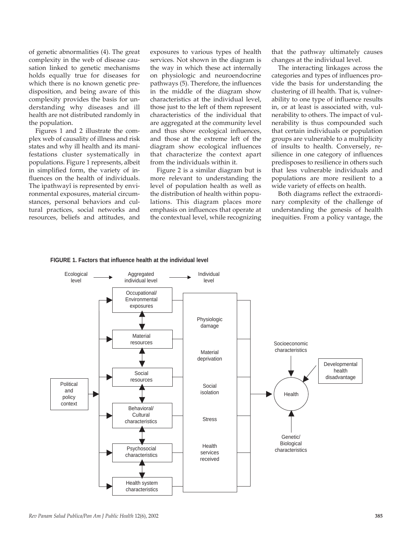of genetic abnormalities (4). The great complexity in the web of disease causation linked to genetic mechanisms holds equally true for diseases for which there is no known genetic predisposition, and being aware of this complexity provides the basis for understanding why diseases and ill health are not distributed randomly in the population.

Figures 1 and 2 illustrate the complex web of causality of illness and risk states and why ill health and its manifestations cluster systematically in populations. Figure 1 represents, albeit in simplified form, the variety of influences on the health of individuals. The ìpathwayî is represented by environmental exposures, material circumstances, personal behaviors and cultural practices, social networks and resources, beliefs and attitudes, and

exposures to various types of health services. Not shown in the diagram is the way in which these act internally on physiologic and neuroendocrine pathways (5). Therefore, the influences in the middle of the diagram show characteristics at the individual level, those just to the left of them represent characteristics of the individual that are aggregated at the community level and thus show ecological influences, and those at the extreme left of the diagram show ecological influences that characterize the context apart from the individuals within it.

Figure 2 is a similar diagram but is more relevant to understanding the level of population health as well as the distribution of health within populations. This diagram places more emphasis on influences that operate at the contextual level, while recognizing

that the pathway ultimately causes changes at the individual level.

The interacting linkages across the categories and types of influences provide the basis for understanding the clustering of ill health. That is, vulnerability to one type of influence results in, or at least is associated with, vulnerability to others. The impact of vulnerability is thus compounded such that certain individuals or population groups are vulnerable to a multiplicity of insults to health. Conversely, resilience in one category of influences predisposes to resilience in others such that less vulnerable individuals and populations are more resilient to a wide variety of effects on health.

Both diagrams reflect the extraordinary complexity of the challenge of understanding the genesis of health inequities. From a policy vantage, the



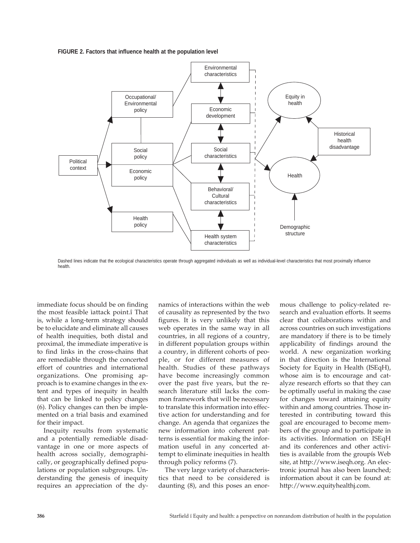



Dashed lines indicate that the ecological characteristics operate through aggregated individuals as well as individual-level characteristics that most proximally influence health.

immediate focus should be on finding the most feasible ìattack point.î That is, while a long-term strategy should be to elucidate and eliminate all causes of health inequities, both distal and proximal, the immediate imperative is to find links in the cross-chains that are remediable through the concerted effort of countries and international organizations. One promising approach is to examine changes in the extent and types of inequity in health that can be linked to policy changes (6). Policy changes can then be implemented on a trial basis and examined for their impact.

Inequity results from systematic and a potentially remediable disadvantage in one or more aspects of health across socially, demographically, or geographically defined populations or population subgroups. Understanding the genesis of inequity requires an appreciation of the dynamics of interactions within the web of causality as represented by the two figures. It is very unlikely that this web operates in the same way in all countries, in all regions of a country, in different population groups within a country, in different cohorts of people, or for different measures of health. Studies of these pathways have become increasingly common over the past five years, but the research literature still lacks the common framework that will be necessary to translate this information into effective action for understanding and for change. An agenda that organizes the new information into coherent patterns is essential for making the information useful in any concerted attempt to eliminate inequities in health through policy reforms (7).

The very large variety of characteristics that need to be considered is daunting (8), and this poses an enormous challenge to policy-related research and evaluation efforts. It seems clear that collaborations within and across countries on such investigations are mandatory if there is to be timely applicability of findings around the world. A new organization working in that direction is the International Society for Equity in Health (ISEqH), whose aim is to encourage and catalyze research efforts so that they can be optimally useful in making the case for changes toward attaining equity within and among countries. Those interested in contributing toward this goal are encouraged to become members of the group and to participate in its activities. Information on ISEqH and its conferences and other activities is available from the groupís Web site, at http://www.iseqh.org. An electronic journal has also been launched; information about it can be found at: http://www.equityhealthj.com.